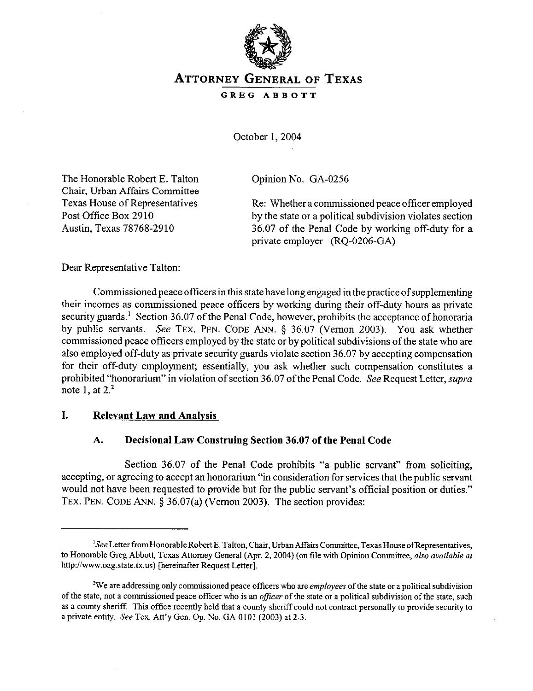

# **ATTORNEY GENERAL OF TEXAS**

**GREG ABBOTT** 

October 1,2004

The Honorable Robert E. Talton Chair, Urban Affairs Committee Texas House of Representatives Post Office Box 2910 Austin, Texas 78768-2910

Opinion No. GA-0256

Re: Whether a commissioned peace officer employed by the state or a political subdivision violates section 36.07 of the Penal Code by working off-duty for a private employer (RQ-0206-GA)

Dear Representative Talton:

Commissioned peace officers in this state have long engaged in the practice of supplementing their incomes as commissioned peace officers by working during their off-duty hours as private security guards.<sup>1</sup> Section 36.07 of the Penal Code, however, prohibits the acceptance of honoraria by public servants. See **TEX. PEN. CODE ANN.** § 36.07 (Vernon 2003). You ask whether commissioned peace officers employed by the state or by political subdivisions of the state who are also employed off-duty as private security guards violate section 36.07 by accepting compensation for their off-duty employment; essentially, you ask whether such compensation constitutes a prohibited "honorarium" in violation of section 36.07 of the Penal Code. See Request Letter, supra note 1, at  $2<sup>2</sup>$ 

### **I. Relevant Law and Analvsis**

# **A. Decisional Law Construing Section 36.07 of the Penal Code**

Section 36.07 of the Penal Code prohibits "a public servant" from soliciting, accepting, or agreeing to accept an honorarium "in consideration for services that the public servant would not have been requested to provide but for the public servant's official position or duties." **TEX. PEN. CODE ANN.** 5 36.07(a) (Vernon 2003). The section provides:

<sup>&</sup>lt;sup>1</sup>See Letter from Honorable Robert E. Talton, Chair, Urban Affairs Committee, Texas House of Representatives, to Honorable Greg Abbott, Texas Attorney General (Apr. *2,2004) (on* file with Opinion *Committee, also available nf*  http://www.oag.state.tx.us) [hereinafter Request Letter].

<sup>&#</sup>x27;We are addressing only commissioned peace officers who are employees of the state or a political subdivision of the state, not a commissioned peace offker who is an officer of the state OI a political subdivision of the state, such as a county sheriff. This office recently held that a county sheriff could not contract personally to provide security to a private entity. See Tex. Att'y Gen. Op. No. GA-0101 (2003) at 2-3.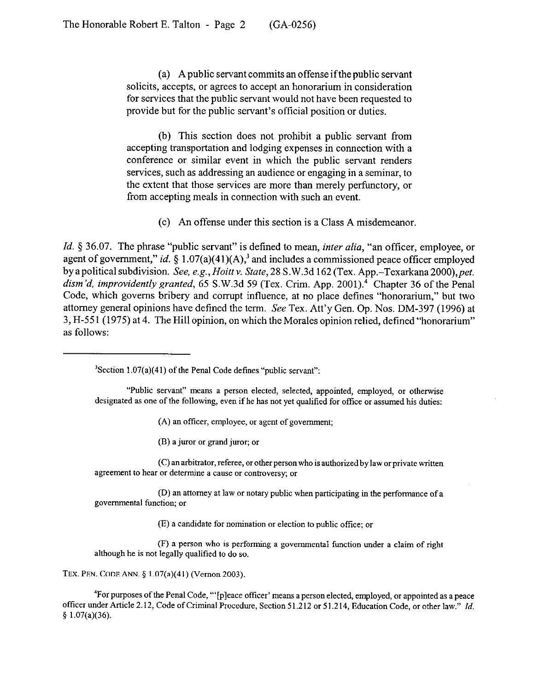(a) A public servant commits an offense ifthe public servant solicits, accepts, or agrees to accept an honorarium in consideration for services that the public servant would not have been requested to provide but for the public servant's official position or duties.

(b) This section does not prohibit a public servant from accepting transportation and lodging expenses in connection with a conference or similar event in which the public servant renders services, such as addressing an audience or engaging in a seminar, to the extent that those services are more than merely perfunctory, or from accepting meals in connection with such an event.

(c) An offense under this section is a Class A misdemeanor.

*Id.* § 36.07. The phrase "public servant" is defined to mean, *inter alia*, "an officer, employee, or agent of government," *id.* § 1.07(a)(41)(A),<sup>3</sup> and includes a commissioned peace officer employed by apolitical subdivision. *See, e.g., Hoitt* V. *State,* 28 S.W.3d 162 (Tex. App.-Texarkana *2OOO),pet. dim 'd, improvidently granted,* 65 S.W.3d 59 (Tex. Crim. App. 2001).4 Chapter 36 of the Penal Code, which governs bribery and corrupt influence, at no place defines "honorarium," but two attorney general opinions have defined the term. See Tex. Att'y Gen. Op. Nos. DM-397 (1996) at 3, H-551 (1975) at 4. The Hill opinion, on which the Morales opinion relied, defined "honorarium" as follows:

 $3$ Section 1.07(a)(41) of the Penal Code defines "public servant":

"Public servant" means a person elected, selected, appointed, employed, or otherwise designated as one of the following, even if he has not yet qualified for office or assumed his duties:

(A) an officer, employee, or agent of government;

 $(B)$  a juror or grand juror; or

 $(C)$  an arbitrator, referee, or other person who is authorized by law or private written agreement to hear or determine a cause or controversy; or

(D) an attorney at law or notary public when participating in the performance of a governmental function; or

 $(E)$  a candidate for nomination or election to public office; or

(F) a person who is performing a governmental fonction under a claim of right although he is not legally qualified to do so.

TEX. PEN. CODE ANN. § 1.07(a)(41) (Vernon 2003).

4Forpurposes of the Penal Code, "' [p] eace oftker' means a person elected, employed, OI appointed as a peace officer under Article 2.12, Code of Criminal Procedure, Section 5 1.212 or 51,214, Education Code, or other law." *Id.*   $$ 1.07(a)(36).$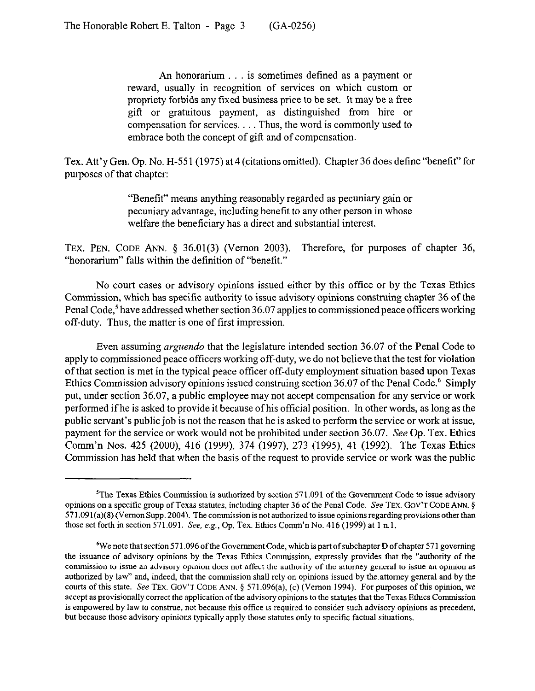An honorarium . . . is sometimes defined as a payment or reward, usually in recognition of services on which custom or propriety forbids any fixed business price to be set. It may be a free gift or gratuitous payment, as distinguished from hire or compensation for services. . . . Thus, the word is commonly used to embrace both the concept of gift and of compensation.

Tex. Att'y Gen. Op. No. H-55 1 (1975) at 4 (citations omitted). Chapter 36 does define "benefit" for purposes of that chapter:

> "Benefit" means anything reasonably regarded as pecuniary gain or pecuniary advantage, including benefit to any other person in whose welfare the beneficiary has a direct and substantial interest.

TEX. PEN. CODE ANN. § 36.01(3) (Vernon 2003). Therefore, for purposes of chapter 36, "honorarium" falls within the definition of "benefit."

No court cases or advisory opinions issued either by this office or by the Texas Ethics Commission, which has specific authority to issue advisory opinions construing chapter 36 of the Penal Code,<sup>5</sup> have addressed whether section 36.07 applies to commissioned peace officers working off-duty. Thus, the matter is one of first impression.

Even assuming *arguendo* that the legislature intended section 36.07 of the Penal Code to apply to commissioned peace officers working off-duty, we do not believe that the test for violation of that section is met in the typical peace officer off-duty employment situation based upon Texas Ethics Commission advisory opinions issued construing section 36.07 of the Penal Code.<sup>6</sup> Simply put, under section 36.07, a public employee may not accept compensation for any service or work performed if he is asked to provide it because of his official position. In other words, as long as the public servant's public job is not the reason that he is asked to perform the service or work at issue, payment for the service or work would not be prohibited under section 36.07. See Op. Tex. Ethics Comm'n Nos. 425 (2000), 416 (1999), 374 (1997), 273 (1995), 41 (1992). The Texas Ethics Commission has held that when the basis of the request to provide service or work was the public

<sup>&</sup>lt;sup>5</sup>The Texas Ethics Commission is authorized by section  $571.091$  of the Government Code to issue advisory opinions on a specific group of Texas statutes, including chapter 36 of the Penal Code. See TEX. GOV'T CODE ANN. 5 571,091(a)(8) (Vernon Supp. 2004). The commission is not authorized to issue opinions regarding provisions other than those set forth in section 571.091. See, e.g., Op. Tex. Ethics Comm'n No. 416 (1999) at 1 n.1.

<sup>&</sup>lt;sup>6</sup>We note that section 571.096 of the Government Code, which is part of subchapter D of chapter 571 governing the issuance of advisory opinions by the Texas Ethics Commission, expressly provides that the "authority of the commission to issue an advisory opinion does not affect the authority of the attorney general to issue an opinion as authorized by law" and, indeed, that the commission shall rely on opinions issued by the attomey general and by the courts of this state. See TEX. GOV'T CODE ANN. § 571.096(a), (c) (Vernon 1994). For purposes of this opinion, we accept as provisionally correct the application of the advisory opinions to the statutes that the Texas Ethics Commission is empowered by law to construe, not because this oftice is required to consider such advisory opinions as precedent, but because those advisory opinions typically apply those statutes only to specific factual situations.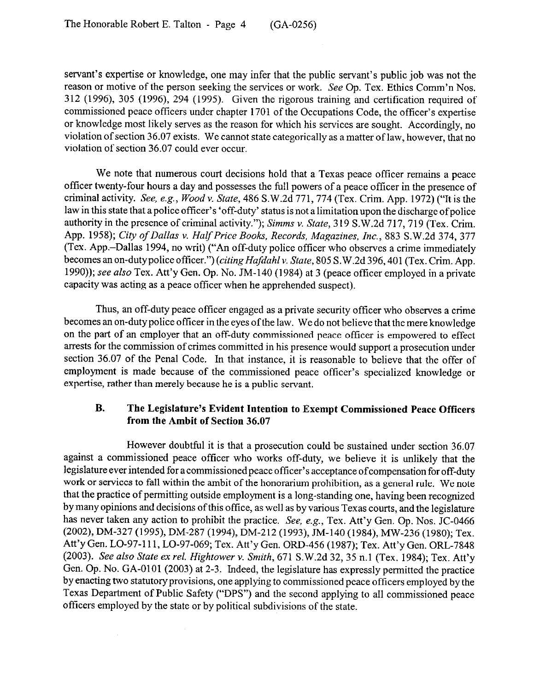servant's expertise or knowledge, one may infer that the public servant's public job was not the reason or motive of the person seeking the services or work. See Op. Tex. Ethics Comm'n Nos. 312 (1996), 305 (1996), 294 (1995). Given the rigorous training and certification required of commissioned peace officers under chapter 1701 of the Occupations Code, the officer's expertise or knowledge most likely serves as the reason for which his services are sought. Accordingly, no violation of section 36.07 exists. We cannot state categorically as a matter of law, however, that no violation of section 36.07 could ever occur.

We note that numerous court decisions hold that a Texas peace officer remains a peace officer twenty-four hours a day and possesses the full powers of a peace officer in the presence of criminal activity. See, e.g., Woodv. State, 486 S.W.2d 771,774 (Tex. Crim. App. 1972) ("It is the law in this state that a police officer's 'off-duty' status is not a limitation upon the discharge of police authority in the presence of criminal activity."); Simms v. State, 319 S.W.2d 717, 719 (Tex. Crim. App. 1958); *City of Dallas v. Half Price Books, Records, Magazines, Inc., 883 S.W.2d 374, 377* (Tex. App.-Dallas 1994, no writ) ("An off-duty police officer who observes a crime immediately becomes an on-dutypolice officer.") *(citing Hafdahl* v. State, 805 S.W.2d 396,401 (Tex. Grim. App. 1990)); see also Tex. Att'y Gen. Op. No. JM-140 (1984) at 3 (peace officer employed in a private capacity was acting as a peace officer when he apprehended suspect).

Thus, an off-duty peace officer engaged as a private security officer who observes a crime becomes an on-duty police officer in the eyes ofthe law. We do not believe that the mere knowledge on the part of an employer that an off-duty commissioned peace officer is empowered to effect arrests for the commission of crimes committed in his presence would support a prosecution under section 36.07 of the Penal Code. In that instance, it is reasonable to believe that the offer of employment is made because of the commissioned peace officer's specialized knowledge or expertise, rather than merely because he is a public servant.

# **B. The Legislature's Evident Intention to Exempt Commissioned Peace Officers from the Ambit of Section 36.07**

However doubtful it is that a prosecution could be sustained under section 36.07 against a commissioned peace officer who works off-duty, we believe it is unlikely that the legislature ever intended for a commissioned peace officer's acceptance of compensation for off-duty work or services to fall within the ambit of the honorarium prohibition, as a general rule. We note that the practice of permitting outside employment is a long-standing one, having been recognized by many opinions and decisions ofthis office, as well as by various Texas courts, and the legislature has never taken any action to prohibit the practice. See, e.g., Tex. Att'y Gen. Op. Nos. JC-0466 (2002), DM-327 (1995), DM-287 (1994), DM-212 (1993), JM-140 (1984), MW-236 (1980); Tex. Att'y Gen. LO-97-l 11, LO-97-069; Tex. Att'y Gen. ORD-456 (1987); Tex. Att'y Gen. ORL-7848 *(2003). See also State ex rel. Hightower Y. Smith,* 671 S.W.2d 32,35 n.1 (Tex. 1984); Tex. Att'y Gen. Op. No. GA-0101 (2003) at 2-3. Indeed, the legislature has expressly permitted the practice by enacting two statutory provisions, one applying to commissioned peace officers employed by the Texas Department of Public Safety ("DPS") and the second applying to all commissioned peace officers employed by the state or by political subdivisions of the state.

 $\mathcal{L}$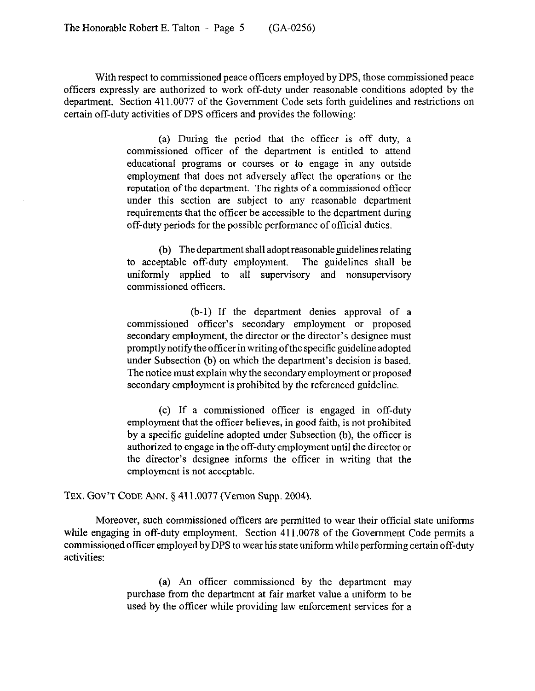With respect to commissioned peace officers employed by DPS, those commissioned peace officers expressly are authorized to work off-duty under reasonable conditions adopted by the department. Section 411.0077 of the Government Code sets forth guidelines and restrictions on certain off-duty activities of DPS officers and provides the following:

> (a) During the period that the officer is off duty, a commissioned officer of the department is entitled to attend educational programs or courses or to engage in any outside employment that does not adversely affect the operations or the reputation of the department. The rights of a commissioned officer under this section are subject to any reasonable department requirements that the officer be accessible to the department during off-duty periods for the possible performance of official duties.

> (b) The department shall adopt reasonable guidelines relating to acceptable off-duty employment. The guidelines shall be uniformly applied to all supervisory and nonsupervisory commissioned officers.

> (b-l) If the department denies approval of a commissioned officer's secondary employment or proposed secondary employment, the director or the director's designee must promptly notify the officer in writing ofthe specific guideline adopted under Subsection (b) on which the department's decision is based. The notice must explain why the secondary employment or proposed secondary employment is prohibited by the referenced guideline.

> (c) If a commissioned officer is engaged in off-duty employment that the officer believes, in good faith, is not prohibited by a specific guideline adopted under Subsection (b), the officer is authorized to engage in the off-duty employment until the director or the director's designee informs the officer in writing that the employment is not acceptable.

#### **TEX.** GOV'T **CODE** ANN. § 411.0077 (Vernon Supp. 2004).

Moreover, such commissioned officers are permitted to wear their official state uniforms while engaging in off-duty employment. Section 411.0078 of the Government Code permits a commissioned officer employed by DPS to wear his state uniform while performing certain off-duty activities:

> (a) An officer commissioned by the department may purchase from the department at fair market value a uniform to be used by the officer while providing law enforcement services for a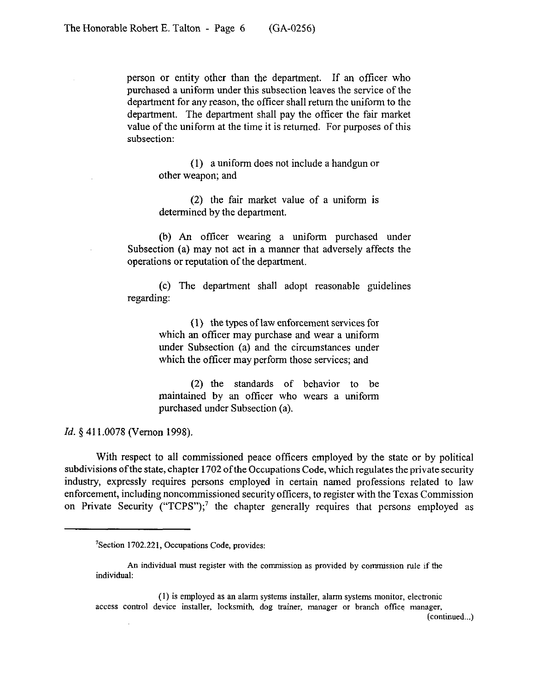person or entity other than the department. If an officer who purchased a uniform under this subsection leaves the service of the department for any reason, the officer shall return the uniform to the department. The department shall pay the officer the fair market value of the uniform at the time it is returned. For purposes of this subsection:

> (1) a uniform does not include a handgun or other weapon; and

> (2) the fair market value of a uniform is determined by the department.

(b) An officer wearing a uniform purchased under Subsection (a) may not act in a manner that adversely affects the operations or reputation of the department.

(c) The department shall adopt reasonable guidelines regarding:

> (1) the types of law enforcement services for which an officer may purchase and wear a uniform under Subsection (a) and the circumstances under which the officer may perform those services; and

> (2) the standards of behavior to be maintained by an officer who wears a uniform purchased under Subsection (a).

Id. § 411.0078 (Vernon 1998).

With respect to all commissioned peace officers employed by the state or by political subdivisions of the state, chapter 1702 of the Occupations Code, which regulates the private security industry, expressly requires persons employed in certain named professions related to law enforcement, including noncommissioned security officers, to register with the Texas Commission on Private Security ("TCPS");<sup>7</sup> the chapter generally requires that persons employed as

(1) is employed as an alarm systems installer, alarm systems monitor, electronic access control device installer, locksmith, dog trainer, manager or branch office manager,

(continued...)

<sup>&#</sup>x27;Section 1702.221, Occupations Code, provides:

An individual must register with the commission as provided by commission rule if the individual: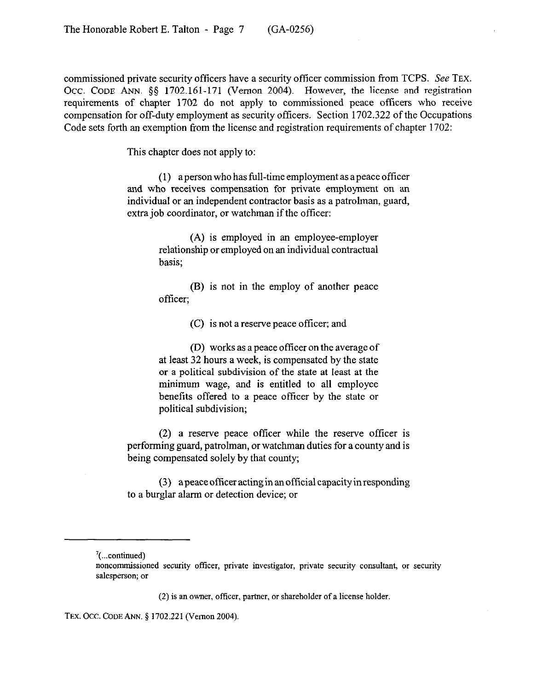commissioned private security officers have a security officer commission from TCPS. See TEX. Occ. CODE ANN. §§ 1702.161-171 (Vernon 2004). However, the license and registration requirements of chapter 1702 do not apply to commissioned peace officers who receive compensation for off-duty employment as security officers. Section 1702.322 of the Occupations Code sets forth an exemption from the license and registration requirements of chapter 1702:

This chapter does not apply to:

(I) apersonwho has full-time employment as apeace officer and who receives compensation for private employment on an individual or an independent contractor basis as a patrolman, guard, extra job coordinator, or watchman if the officer:

> (A) is employed in an employee-employer relationship or employed on an individual contractual basis;

> (B) is not in the employ of another peace officer:

> > (C) is not a reserve peace officer; and

(D) works as a peace officer on the average of at least 32 hours a week, is compensated by the state or a political subdivision of the state at least at the minimum wage, and is entitled to all employee benefits offered to a peace officer by the state or political subdivision;

(2) a reserve peace officer while the reserve officer is performing guard, patrolman, or watchman duties for a county and is being compensated solely by that county;

(3) a peace officer acting in an official capacity in responding to a burglar alarm or detection device; or

 $(2)$  is an owner, officer, partner, or shareholder of a license holder.

TEX. OCC. CODE ANN. § 1702.221 (Vernon 2004).

 $\frac{7}{2}$ (...continued)

noncommissioned security officer, private investigator, private security consultant, or security salesperson; or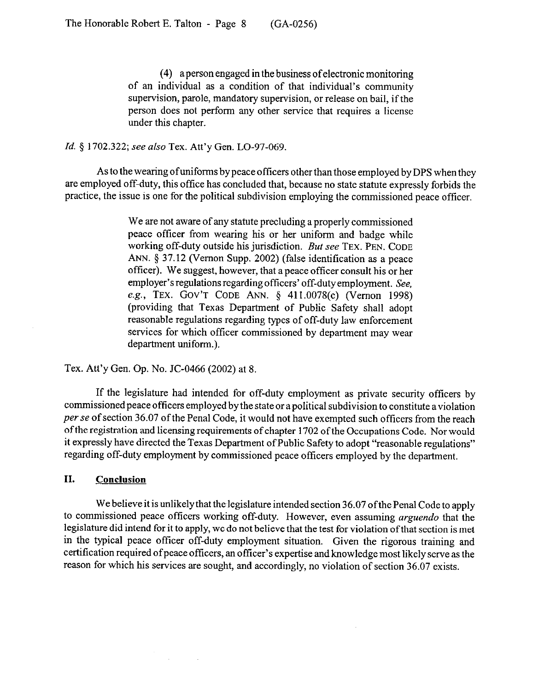(4) a person engaged in the business ofelectronic monitoring of an individual as a condition of that individual's community supervision, parole, mandatory supervision, or release on bail, if the person does not perform any other service that requires a license under this chapter.

### *Id.* 5 1702.322; see *also* Tex. Att'y Gen. LO-97-069.

As to the wearing ofuniforms by peace officers other than those employed by DPS when they are employed off-duty, this office has concluded that, because no state statute expressly forbids the practice, the issue is one for the political subdivision employing the commissioned peace officer.

> We are not aware of any statute precluding a properly commissioned peace officer from wearing his or her uniform and badge while working off-duty outside his jurisdiction. But see **TEX. PEN. CODE ANN.** 5 37.12 (Vernon Supp. 2002) (false identification as a peace officer). We suggest, however, that a peace officer consult his or her employer's regulations regarding officers' off-duty employment. See, e.g., **TEX. GOV'T CODE ANN.** 5 411.0078(c) (Vernon 1998) (providing that Texas Department of Public Safety shall adopt reasonable regulations regarding types of off-duty law enforcement services for which officer commissioned by department may wear department uniform.).

Tex. Att'y Gen. Op. No. JC-0466 (2002) at 8.

If the legislature had intended for off-duty employment as private security officers by commissioned peace officers employed by the state or a political subdivision to constitute a violation *per* se of section 36.07 of the Penal Code, it would not have exempted such officers from the reach of the registration and licensing requirements of chapter 1702 of the Occupations Code. Nor would it expressly have directed the Texas Department of Public Safety to adopt "reasonable regulations" regarding off-duty employment by commissioned peace officers employed by the department.

### **II. Conclusion**

We believe it is unlikely that the legislature intended section 36.07 of the Penal Code to apply to commissioned peace officers working off-duty. However, even assuming *arguendo* that the legislature did intend for it to apply, we do not believe that the test for violation of that section is met in the typical peace officer off-duty employment situation. Given the rigorous training and certification required of peace officers, an officer's expertise and knowledge most likely serve as the reason for which his services are sought, and accordingly, no violation of section 36.07 exists.